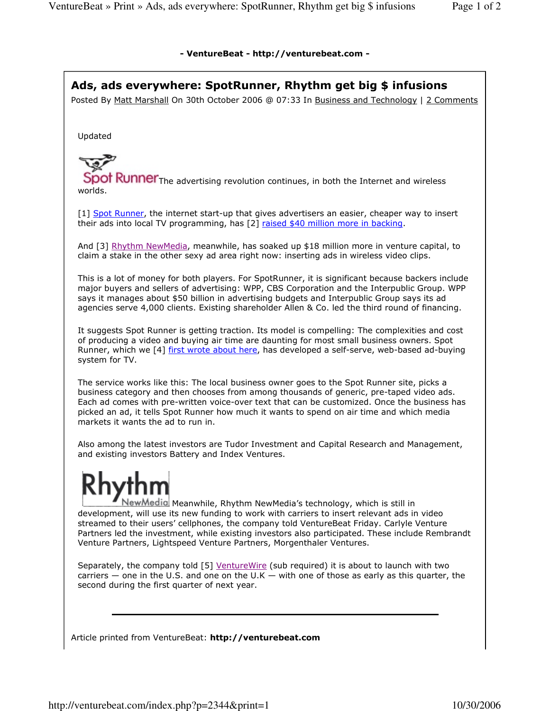## - VentureBeat - http://venturebeat.com -

Ads, ads everywhere: SpotRunner, Rhythm get big \$ infusions Posted By Matt Marshall On 30th October 2006 @ 07:33 In Business and Technology | 2 Comments Updated Spot Runner The advertising revolution continues, in both the Internet and wireless worlds.

[1] Spot Runner, the internet start-up that gives advertisers an easier, cheaper way to insert their ads into local TV programming, has [2] raised \$40 million more in backing.

And [3] Rhythm NewMedia, meanwhile, has soaked up \$18 million more in venture capital, to claim a stake in the other sexy ad area right now: inserting ads in wireless video clips.

This is a lot of money for both players. For SpotRunner, it is significant because backers include major buyers and sellers of advertising: WPP, CBS Corporation and the Interpublic Group. WPP says it manages about \$50 billion in advertising budgets and Interpublic Group says its ad agencies serve 4,000 clients. Existing shareholder Allen & Co. led the third round of financing.

It suggests Spot Runner is getting traction. Its model is compelling: The complexities and cost of producing a video and buying air time are daunting for most small business owners. Spot Runner, which we [4] first wrote about here, has developed a self-serve, web-based ad-buying system for TV.

The service works like this: The local business owner goes to the Spot Runner site, picks a business category and then chooses from among thousands of generic, pre-taped video ads. Each ad comes with pre-written voice-over text that can be customized. Once the business has picked an ad, it tells Spot Runner how much it wants to spend on air time and which media markets it wants the ad to run in.

Also among the latest investors are Tudor Investment and Capital Research and Management, and existing investors Battery and Index Ventures.

NewMedigi Meanwhile, Rhythm NewMedia's technology, which is still in development, will use its new funding to work with carriers to insert relevant ads in video streamed to their users' cellphones, the company told VentureBeat Friday. Carlyle Venture Partners led the investment, while existing investors also participated. These include Rembrandt Venture Partners, Lightspeed Venture Partners, Morgenthaler Ventures.

Separately, the company told [5] VentureWire (sub required) it is about to launch with two carriers — one in the U.S. and one on the U.K — with one of those as early as this quarter, the second during the first quarter of next year.

Article printed from VentureBeat: http://venturebeat.com